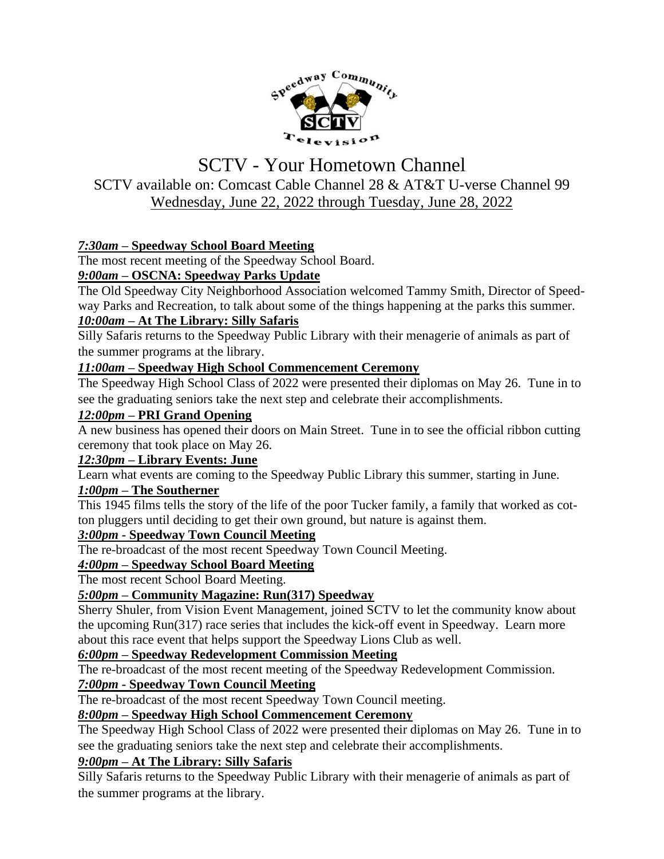

# SCTV - Your Hometown Channel SCTV available on: Comcast Cable Channel 28 & AT&T U-verse Channel 99 Wednesday, June 22, 2022 through Tuesday, June 28, 2022

## *7:30am –* **Speedway School Board Meeting**

The most recent meeting of the Speedway School Board.

## *9:00am –* **OSCNA: Speedway Parks Update**

The Old Speedway City Neighborhood Association welcomed Tammy Smith, Director of Speedway Parks and Recreation, to talk about some of the things happening at the parks this summer.

#### *10:00am –* **At The Library: Silly Safaris**

Silly Safaris returns to the Speedway Public Library with their menagerie of animals as part of the summer programs at the library.

#### *11:00am –* **Speedway High School Commencement Ceremony**

The Speedway High School Class of 2022 were presented their diplomas on May 26. Tune in to see the graduating seniors take the next step and celebrate their accomplishments.

#### *12:00pm –* **PRI Grand Opening**

A new business has opened their doors on Main Street. Tune in to see the official ribbon cutting ceremony that took place on May 26.

#### *12:30pm –* **Library Events: June**

Learn what events are coming to the Speedway Public Library this summer, starting in June.

## *1:00pm –* **The Southerner**

This 1945 films tells the story of the life of the poor Tucker family, a family that worked as cotton pluggers until deciding to get their own ground, but nature is against them.

#### *3:00pm -* **Speedway Town Council Meeting**

The re-broadcast of the most recent Speedway Town Council Meeting.

#### *4:00pm –* **Speedway School Board Meeting**

The most recent School Board Meeting.

## *5:00pm –* **Community Magazine: Run(317) Speedway**

Sherry Shuler, from Vision Event Management, joined SCTV to let the community know about the upcoming Run(317) race series that includes the kick-off event in Speedway. Learn more about this race event that helps support the Speedway Lions Club as well.

#### *6:00pm –* **Speedway Redevelopment Commission Meeting**

The re-broadcast of the most recent meeting of the Speedway Redevelopment Commission.

## *7:00pm -* **Speedway Town Council Meeting**

The re-broadcast of the most recent Speedway Town Council meeting.

## *8:00pm –* **Speedway High School Commencement Ceremony**

The Speedway High School Class of 2022 were presented their diplomas on May 26. Tune in to see the graduating seniors take the next step and celebrate their accomplishments.

## *9:00pm –* **At The Library: Silly Safaris**

Silly Safaris returns to the Speedway Public Library with their menagerie of animals as part of the summer programs at the library.